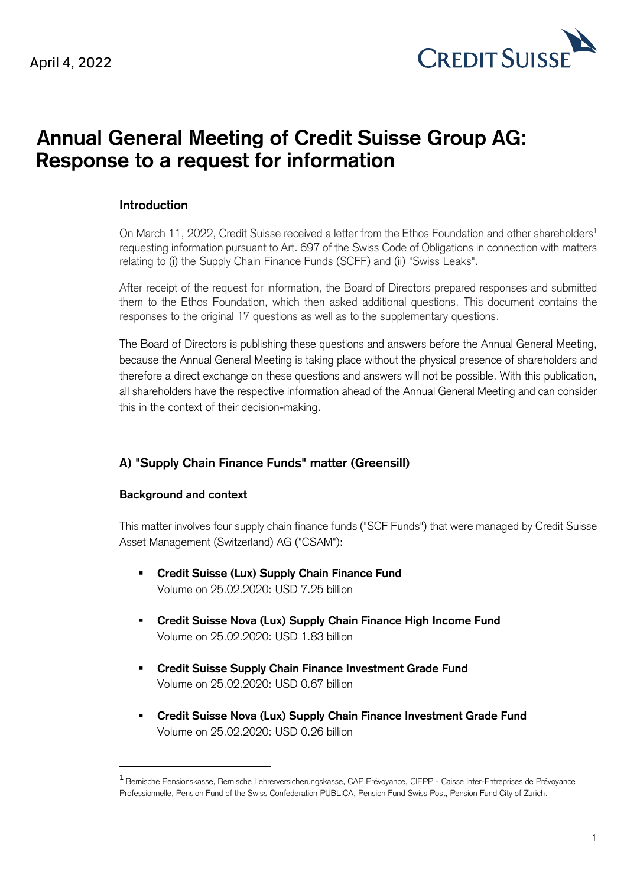April 4, 2022



# **Annual General Meeting of Credit Suisse Group AG: Response to a request for information**

## **Introduction**

On March 11, 2022, Credit Suisse received a letter from the Ethos Foundation and other shareholders<sup>1</sup> requesting information pursuant to Art. 697 of the Swiss Code of Obligations in connection with matters relating to (i) the Supply Chain Finance Funds (SCFF) and (ii) "Swiss Leaks".

After receipt of the request for information, the Board of Directors prepared responses and submitted them to the Ethos Foundation, which then asked additional questions. This document contains the responses to the original 17 questions as well as to the supplementary questions.

The Board of Directors is publishing these questions and answers before the Annual General Meeting, because the Annual General Meeting is taking place without the physical presence of shareholders and therefore a direct exchange on these questions and answers will not be possible. With this publication, all shareholders have the respective information ahead of the Annual General Meeting and can consider this in the context of their decision-making.

## **A) "Supply Chain Finance Funds" matter (Greensill)**

#### **Background and context**

This matter involves four supply chain finance funds ("SCF Funds") that were managed by Credit Suisse Asset Management (Switzerland) AG ("CSAM"):

- **Credit Suisse (Lux) Supply Chain Finance Fund** Volume on 25.02.2020: USD 7.25 billion
- **Credit Suisse Nova (Lux) Supply Chain Finance High Income Fund** Volume on 25.02.2020: USD 1.83 billion
- **Credit Suisse Supply Chain Finance Investment Grade Fund** Volume on 25.02.2020: USD 0.67 billion
- **Credit Suisse Nova (Lux) Supply Chain Finance Investment Grade Fund** Volume on 25.02.2020: USD 0.26 billion

<sup>1</sup> Bernische Pensionskasse, Bernische Lehrerversicherungskasse, CAP Prévoyance, CIEPP - Caisse Inter-Entreprises de Prévoyance Professionnelle, Pension Fund of the Swiss Confederation PUBLICA, Pension Fund Swiss Post, Pension Fund City of Zurich.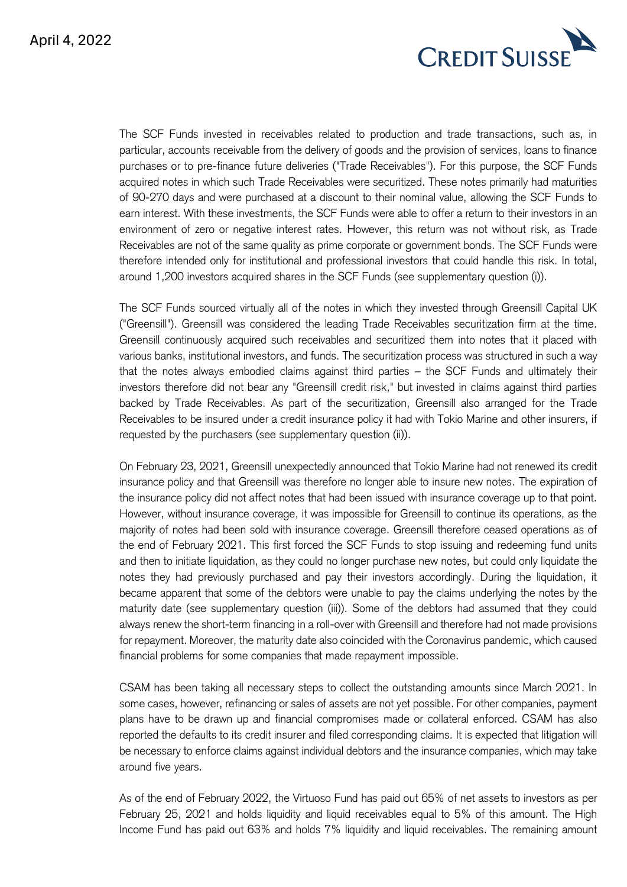

The SCF Funds invested in receivables related to production and trade transactions, such as, in particular, accounts receivable from the delivery of goods and the provision of services, loans to finance purchases or to pre-finance future deliveries ("Trade Receivables"). For this purpose, the SCF Funds acquired notes in which such Trade Receivables were securitized. These notes primarily had maturities of 90-270 days and were purchased at a discount to their nominal value, allowing the SCF Funds to earn interest. With these investments, the SCF Funds were able to offer a return to their investors in an environment of zero or negative interest rates. However, this return was not without risk, as Trade Receivables are not of the same quality as prime corporate or government bonds. The SCF Funds were therefore intended only for institutional and professional investors that could handle this risk. In total, around 1,200 investors acquired shares in the SCF Funds (see supplementary question (i)).

The SCF Funds sourced virtually all of the notes in which they invested through Greensill Capital UK ("Greensill"). Greensill was considered the leading Trade Receivables securitization firm at the time. Greensill continuously acquired such receivables and securitized them into notes that it placed with various banks, institutional investors, and funds. The securitization process was structured in such a way that the notes always embodied claims against third parties – the SCF Funds and ultimately their investors therefore did not bear any "Greensill credit risk," but invested in claims against third parties backed by Trade Receivables. As part of the securitization, Greensill also arranged for the Trade Receivables to be insured under a credit insurance policy it had with Tokio Marine and other insurers, if requested by the purchasers (see supplementary question (ii)).

On February 23, 2021, Greensill unexpectedly announced that Tokio Marine had not renewed its credit insurance policy and that Greensill was therefore no longer able to insure new notes. The expiration of the insurance policy did not affect notes that had been issued with insurance coverage up to that point. However, without insurance coverage, it was impossible for Greensill to continue its operations, as the majority of notes had been sold with insurance coverage. Greensill therefore ceased operations as of the end of February 2021. This first forced the SCF Funds to stop issuing and redeeming fund units and then to initiate liquidation, as they could no longer purchase new notes, but could only liquidate the notes they had previously purchased and pay their investors accordingly. During the liquidation, it became apparent that some of the debtors were unable to pay the claims underlying the notes by the maturity date (see supplementary question (iii)). Some of the debtors had assumed that they could always renew the short-term financing in a roll-over with Greensill and therefore had not made provisions for repayment. Moreover, the maturity date also coincided with the Coronavirus pandemic, which caused financial problems for some companies that made repayment impossible.

CSAM has been taking all necessary steps to collect the outstanding amounts since March 2021. In some cases, however, refinancing or sales of assets are not yet possible. For other companies, payment plans have to be drawn up and financial compromises made or collateral enforced. CSAM has also reported the defaults to its credit insurer and filed corresponding claims. It is expected that litigation will be necessary to enforce claims against individual debtors and the insurance companies, which may take around five years.

As of the end of February 2022, the Virtuoso Fund has paid out 65% of net assets to investors as per February 25, 2021 and holds liquidity and liquid receivables equal to 5% of this amount. The High Income Fund has paid out 63% and holds 7% liquidity and liquid receivables. The remaining amount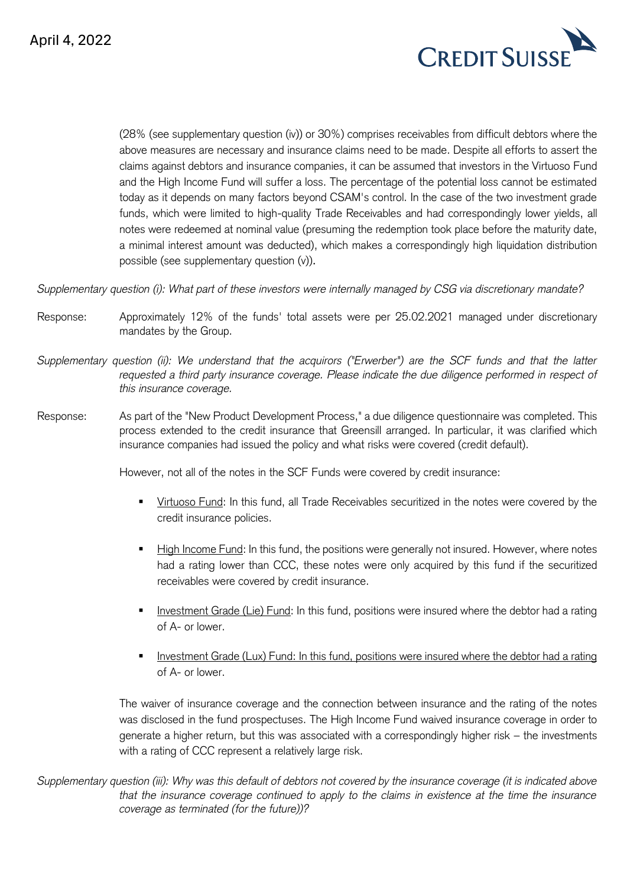

(28% (see supplementary question (iv)) or 30%) comprises receivables from difficult debtors where the above measures are necessary and insurance claims need to be made. Despite all efforts to assert the claims against debtors and insurance companies, it can be assumed that investors in the Virtuoso Fund and the High Income Fund will suffer a loss. The percentage of the potential loss cannot be estimated today as it depends on many factors beyond CSAM's control. In the case of the two investment grade funds, which were limited to high-quality Trade Receivables and had correspondingly lower yields, all notes were redeemed at nominal value (presuming the redemption took place before the maturity date, a minimal interest amount was deducted), which makes a correspondingly high liquidation distribution possible (see supplementary question (v)).

*Supplementary question (i): What part of these investors were internally managed by CSG via discretionary mandate?*

- Response: Approximately 12% of the funds' total assets were per 25.02.2021 managed under discretionary mandates by the Group.
- *Supplementary question (ii): We understand that the acquirors ("Erwerber") are the SCF funds and that the latter*  requested a third party insurance coverage. Please indicate the due diligence performed in respect of *this insurance coverage.*
- Response: As part of the "New Product Development Process," a due diligence questionnaire was completed. This process extended to the credit insurance that Greensill arranged. In particular, it was clarified which insurance companies had issued the policy and what risks were covered (credit default).

However, not all of the notes in the SCF Funds were covered by credit insurance:

- Virtuoso Fund: In this fund, all Trade Receivables securitized in the notes were covered by the credit insurance policies.
- **Example Fund:** In this fund, the positions were generally not insured. However, where notes had a rating lower than CCC, these notes were only acquired by this fund if the securitized receivables were covered by credit insurance.
- Investment Grade (Lie) Fund: In this fund, positions were insured where the debtor had a rating of A- or lower.
- Investment Grade (Lux) Fund: In this fund, positions were insured where the debtor had a rating of A- or lower.

The waiver of insurance coverage and the connection between insurance and the rating of the notes was disclosed in the fund prospectuses. The High Income Fund waived insurance coverage in order to generate a higher return, but this was associated with a correspondingly higher risk – the investments with a rating of CCC represent a relatively large risk.

*Supplementary question (iii): Why was this default of debtors not covered by the insurance coverage (it is indicated above that the insurance coverage continued to apply to the claims in existence at the time the insurance coverage as terminated (for the future))?*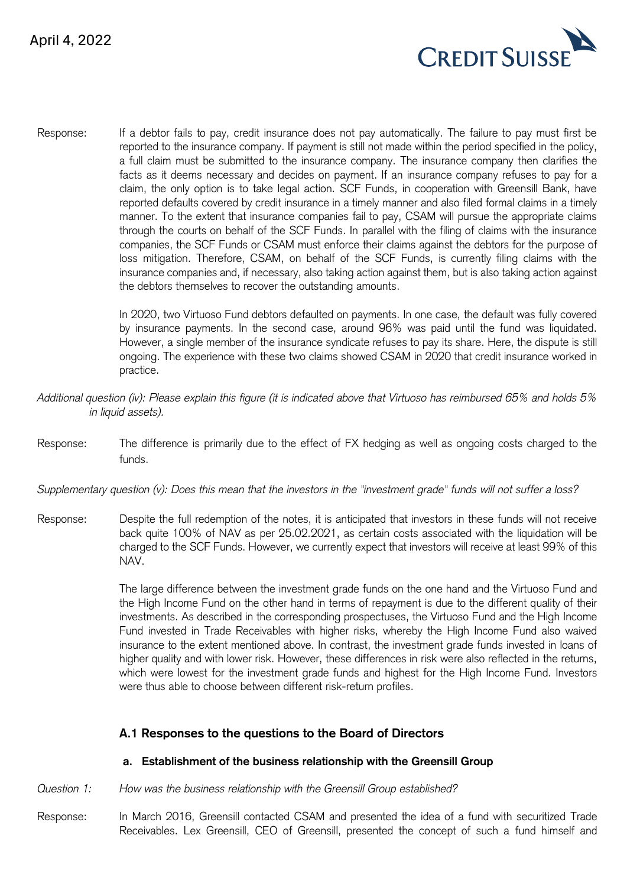

Response: If a debtor fails to pay, credit insurance does not pay automatically. The failure to pay must first be reported to the insurance company. If payment is still not made within the period specified in the policy, a full claim must be submitted to the insurance company. The insurance company then clarifies the facts as it deems necessary and decides on payment. If an insurance company refuses to pay for a claim, the only option is to take legal action. SCF Funds, in cooperation with Greensill Bank, have reported defaults covered by credit insurance in a timely manner and also filed formal claims in a timely manner. To the extent that insurance companies fail to pay, CSAM will pursue the appropriate claims through the courts on behalf of the SCF Funds. In parallel with the filing of claims with the insurance companies, the SCF Funds or CSAM must enforce their claims against the debtors for the purpose of loss mitigation. Therefore, CSAM, on behalf of the SCF Funds, is currently filing claims with the insurance companies and, if necessary, also taking action against them, but is also taking action against the debtors themselves to recover the outstanding amounts.

> In 2020, two Virtuoso Fund debtors defaulted on payments. In one case, the default was fully covered by insurance payments. In the second case, around 96% was paid until the fund was liquidated. However, a single member of the insurance syndicate refuses to pay its share. Here, the dispute is still ongoing. The experience with these two claims showed CSAM in 2020 that credit insurance worked in practice.

- *Additional question (iv): Please explain this figure (it is indicated above that Virtuoso has reimbursed 65% and holds 5% in liquid assets).*
- Response: The difference is primarily due to the effect of FX hedging as well as ongoing costs charged to the funds.

*Supplementary question (v): Does this mean that the investors in the "investment grade" funds will not suffer a loss?*

Response: Despite the full redemption of the notes, it is anticipated that investors in these funds will not receive back quite 100% of NAV as per 25.02.2021, as certain costs associated with the liquidation will be charged to the SCF Funds. However, we currently expect that investors will receive at least 99% of this NAV.

> The large difference between the investment grade funds on the one hand and the Virtuoso Fund and the High Income Fund on the other hand in terms of repayment is due to the different quality of their investments. As described in the corresponding prospectuses, the Virtuoso Fund and the High Income Fund invested in Trade Receivables with higher risks, whereby the High Income Fund also waived insurance to the extent mentioned above. In contrast, the investment grade funds invested in loans of higher quality and with lower risk. However, these differences in risk were also reflected in the returns, which were lowest for the investment grade funds and highest for the High Income Fund. Investors were thus able to choose between different risk-return profiles.

## **A.1 Responses to the questions to the Board of Directors**

#### **a. Establishment of the business relationship with the Greensill Group**

- *Question 1: How was the business relationship with the Greensill Group established?*
- Response: In March 2016, Greensill contacted CSAM and presented the idea of a fund with securitized Trade Receivables. Lex Greensill, CEO of Greensill, presented the concept of such a fund himself and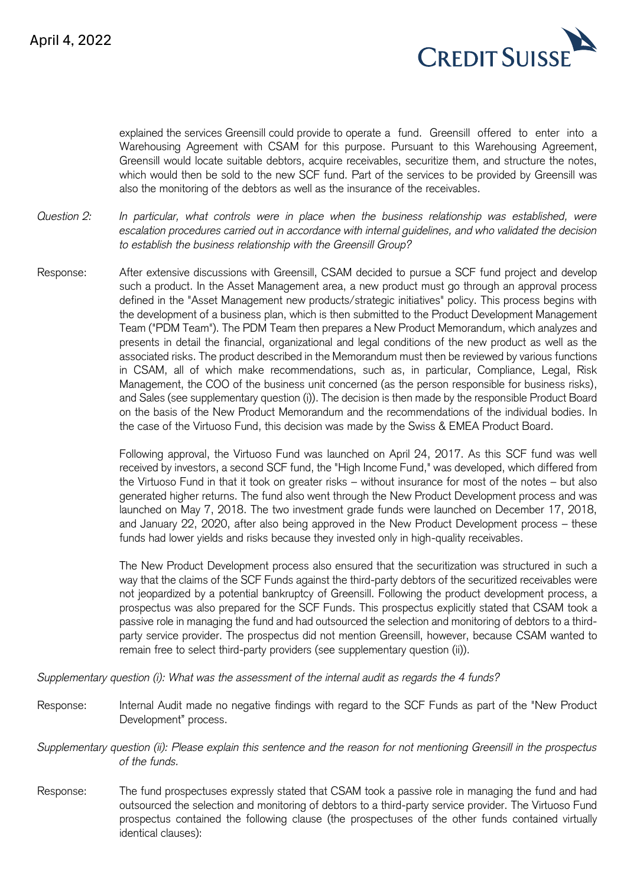

explained the services Greensill could provide to operate a fund. Greensill offered to enter into a Warehousing Agreement with CSAM for this purpose. Pursuant to this Warehousing Agreement, Greensill would locate suitable debtors, acquire receivables, securitize them, and structure the notes, which would then be sold to the new SCF fund. Part of the services to be provided by Greensill was also the monitoring of the debtors as well as the insurance of the receivables.

*Question 2: In particular, what controls were in place when the business relationship was established, were escalation procedures carried out in accordance with internal guidelines, and who validated the decision to establish the business relationship with the Greensill Group?*

Response: After extensive discussions with Greensill, CSAM decided to pursue a SCF fund project and develop such a product. In the Asset Management area, a new product must go through an approval process defined in the "Asset Management new products/strategic initiatives" policy. This process begins with the development of a business plan, which is then submitted to the Product Development Management Team ("PDM Team"). The PDM Team then prepares a New Product Memorandum, which analyzes and presents in detail the financial, organizational and legal conditions of the new product as well as the associated risks. The product described in the Memorandum must then be reviewed by various functions in CSAM, all of which make recommendations, such as, in particular, Compliance, Legal, Risk Management, the COO of the business unit concerned (as the person responsible for business risks), and Sales (see supplementary question (i)). The decision is then made by the responsible Product Board on the basis of the New Product Memorandum and the recommendations of the individual bodies. In the case of the Virtuoso Fund, this decision was made by the Swiss & EMEA Product Board.

> Following approval, the Virtuoso Fund was launched on April 24, 2017. As this SCF fund was well received by investors, a second SCF fund, the "High Income Fund," was developed, which differed from the Virtuoso Fund in that it took on greater risks – without insurance for most of the notes – but also generated higher returns. The fund also went through the New Product Development process and was launched on May 7, 2018. The two investment grade funds were launched on December 17, 2018, and January 22, 2020, after also being approved in the New Product Development process – these funds had lower yields and risks because they invested only in high-quality receivables.

> The New Product Development process also ensured that the securitization was structured in such a way that the claims of the SCF Funds against the third-party debtors of the securitized receivables were not jeopardized by a potential bankruptcy of Greensill. Following the product development process, a prospectus was also prepared for the SCF Funds. This prospectus explicitly stated that CSAM took a passive role in managing the fund and had outsourced the selection and monitoring of debtors to a thirdparty service provider. The prospectus did not mention Greensill, however, because CSAM wanted to remain free to select third-party providers (see supplementary question (ii)).

*Supplementary question (i): What was the assessment of the internal audit as regards the 4 funds?*

- Response: Internal Audit made no negative findings with regard to the SCF Funds as part of the "New Product Development" process.
- *Supplementary question (ii): Please explain this sentence and the reason for not mentioning Greensill in the prospectus of the funds.*
- Response: The fund prospectuses expressly stated that CSAM took a passive role in managing the fund and had outsourced the selection and monitoring of debtors to a third-party service provider. The Virtuoso Fund prospectus contained the following clause (the prospectuses of the other funds contained virtually identical clauses):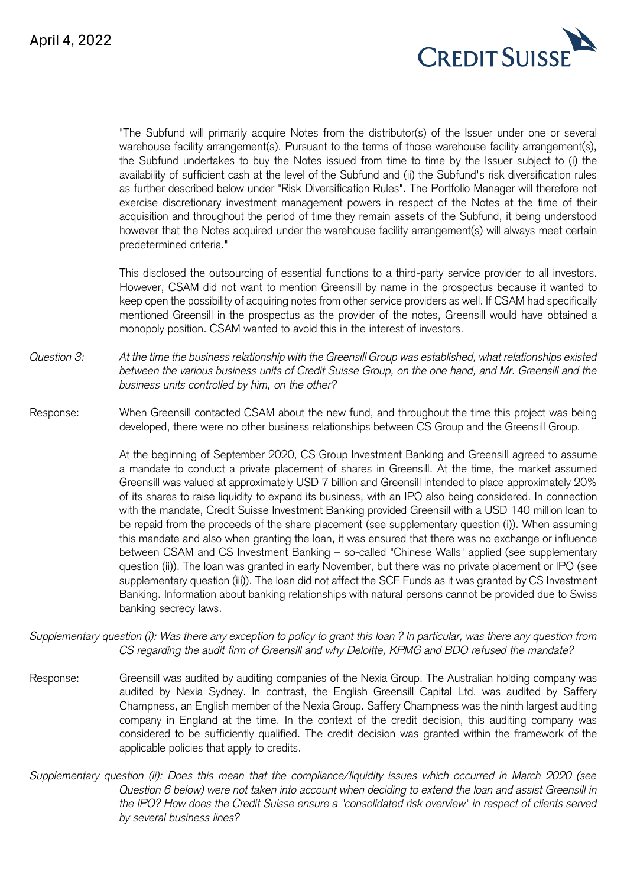

"The Subfund will primarily acquire Notes from the distributor(s) of the Issuer under one or several warehouse facility arrangement(s). Pursuant to the terms of those warehouse facility arrangement(s), the Subfund undertakes to buy the Notes issued from time to time by the Issuer subject to (i) the availability of sufficient cash at the level of the Subfund and (ii) the Subfund's risk diversification rules as further described below under "Risk Diversification Rules". The Portfolio Manager will therefore not exercise discretionary investment management powers in respect of the Notes at the time of their acquisition and throughout the period of time they remain assets of the Subfund, it being understood however that the Notes acquired under the warehouse facility arrangement(s) will always meet certain predetermined criteria."

This disclosed the outsourcing of essential functions to a third-party service provider to all investors. However, CSAM did not want to mention Greensill by name in the prospectus because it wanted to keep open the possibility of acquiring notes from other service providers as well. If CSAM had specifically mentioned Greensill in the prospectus as the provider of the notes, Greensill would have obtained a monopoly position. CSAM wanted to avoid this in the interest of investors.

*Question 3: At the time the business relationship with the Greensill Group was established, what relationships existed between the various business units of Credit Suisse Group, on the one hand, and Mr. Greensill and the business units controlled by him, on the other?*

Response: When Greensill contacted CSAM about the new fund, and throughout the time this project was being developed, there were no other business relationships between CS Group and the Greensill Group.

> At the beginning of September 2020, CS Group Investment Banking and Greensill agreed to assume a mandate to conduct a private placement of shares in Greensill. At the time, the market assumed Greensill was valued at approximately USD 7 billion and Greensill intended to place approximately 20% of its shares to raise liquidity to expand its business, with an IPO also being considered. In connection with the mandate, Credit Suisse Investment Banking provided Greensill with a USD 140 million loan to be repaid from the proceeds of the share placement (see supplementary question (i)). When assuming this mandate and also when granting the loan, it was ensured that there was no exchange or influence between CSAM and CS Investment Banking – so-called "Chinese Walls" applied (see supplementary question (ii)). The loan was granted in early November, but there was no private placement or IPO (see supplementary question (iii)). The loan did not affect the SCF Funds as it was granted by CS Investment Banking. Information about banking relationships with natural persons cannot be provided due to Swiss banking secrecy laws.

*Supplementary question (i): Was there any exception to policy to grant this loan ? In particular, was there any question from CS regarding the audit firm of Greensill and why Deloitte, KPMG and BDO refused the mandate?*

- Response: Greensill was audited by auditing companies of the Nexia Group. The Australian holding company was audited by Nexia Sydney. In contrast, the English Greensill Capital Ltd. was audited by Saffery Champness, an English member of the Nexia Group. Saffery Champness was the ninth largest auditing company in England at the time. In the context of the credit decision, this auditing company was considered to be sufficiently qualified. The credit decision was granted within the framework of the applicable policies that apply to credits.
- *Supplementary question (ii): Does this mean that the compliance/liquidity issues which occurred in March 2020 (see Question 6 below) were not taken into account when deciding to extend the loan and assist Greensill in the IPO? How does the Credit Suisse ensure a "consolidated risk overview" in respect of clients served by several business lines?*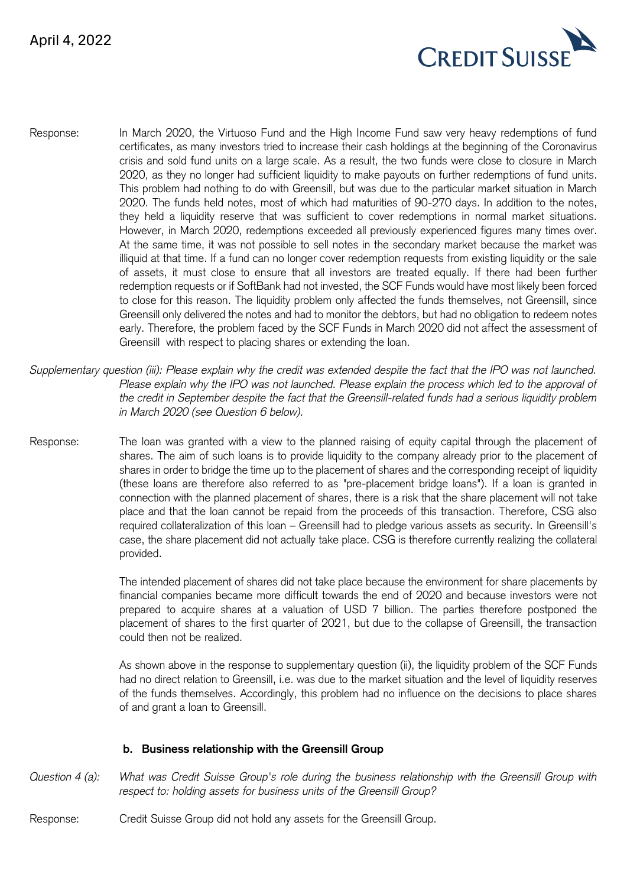

- Response: In March 2020, the Virtuoso Fund and the High Income Fund saw very heavy redemptions of fund certificates, as many investors tried to increase their cash holdings at the beginning of the Coronavirus crisis and sold fund units on a large scale. As a result, the two funds were close to closure in March 2020, as they no longer had sufficient liquidity to make payouts on further redemptions of fund units. This problem had nothing to do with Greensill, but was due to the particular market situation in March 2020. The funds held notes, most of which had maturities of 90-270 days. In addition to the notes, they held a liquidity reserve that was sufficient to cover redemptions in normal market situations. However, in March 2020, redemptions exceeded all previously experienced figures many times over. At the same time, it was not possible to sell notes in the secondary market because the market was illiquid at that time. If a fund can no longer cover redemption requests from existing liquidity or the sale of assets, it must close to ensure that all investors are treated equally. If there had been further redemption requests or if SoftBank had not invested, the SCF Funds would have most likely been forced to close for this reason. The liquidity problem only affected the funds themselves, not Greensill, since Greensill only delivered the notes and had to monitor the debtors, but had no obligation to redeem notes early. Therefore, the problem faced by the SCF Funds in March 2020 did not affect the assessment of Greensill with respect to placing shares or extending the loan.
- *Supplementary question (iii): Please explain why the credit was extended despite the fact that the IPO was not launched.*  Please explain why the IPO was not launched. Please explain the process which led to the approval of *the credit in September despite the fact that the Greensill-related funds had a serious liquidity problem in March 2020 (see Question 6 below).*
- Response: The loan was granted with a view to the planned raising of equity capital through the placement of shares. The aim of such loans is to provide liquidity to the company already prior to the placement of shares in order to bridge the time up to the placement of shares and the corresponding receipt of liquidity (these loans are therefore also referred to as "pre-placement bridge loans"). If a loan is granted in connection with the planned placement of shares, there is a risk that the share placement will not take place and that the loan cannot be repaid from the proceeds of this transaction. Therefore, CSG also required collateralization of this loan – Greensill had to pledge various assets as security. In Greensill's case, the share placement did not actually take place. CSG is therefore currently realizing the collateral provided.

The intended placement of shares did not take place because the environment for share placements by financial companies became more difficult towards the end of 2020 and because investors were not prepared to acquire shares at a valuation of USD 7 billion. The parties therefore postponed the placement of shares to the first quarter of 2021, but due to the collapse of Greensill, the transaction could then not be realized.

As shown above in the response to supplementary question (ii), the liquidity problem of the SCF Funds had no direct relation to Greensill, i.e. was due to the market situation and the level of liquidity reserves of the funds themselves. Accordingly, this problem had no influence on the decisions to place shares of and grant a loan to Greensill.

#### **b. Business relationship with the Greensill Group**

- *Question 4 (a): What was Credit Suisse Group's role during the business relationship with the Greensill Group with respect to: holding assets for business units of the Greensill Group?*
- Response: Credit Suisse Group did not hold any assets for the Greensill Group.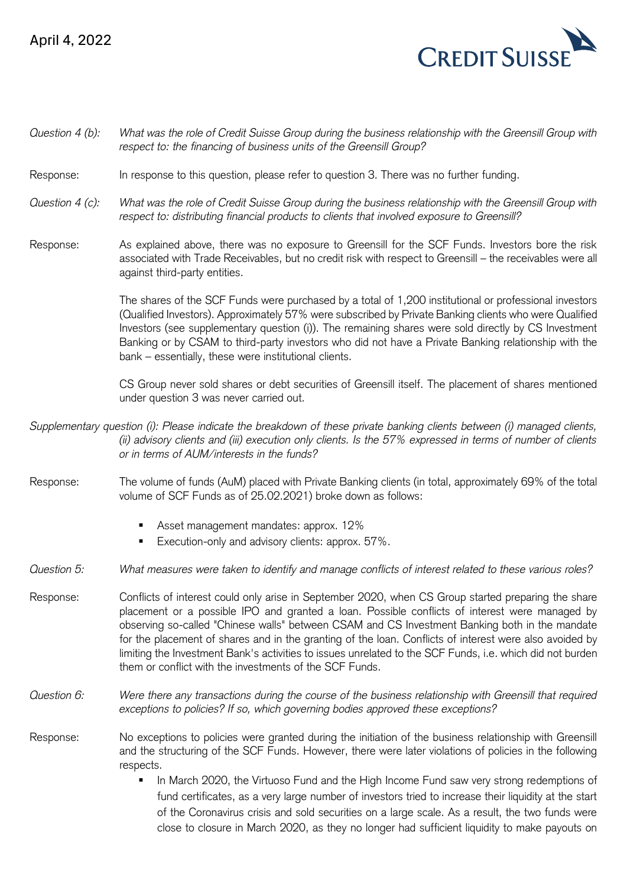## April 4, 2022



| Question 4 (b): | What was the role of Credit Suisse Group during the business relationship with the Greensill Group with<br>respect to: the financing of business units of the Greensill Group?                                                                                                                                                                                                                                                                                                                                                                                                             |
|-----------------|--------------------------------------------------------------------------------------------------------------------------------------------------------------------------------------------------------------------------------------------------------------------------------------------------------------------------------------------------------------------------------------------------------------------------------------------------------------------------------------------------------------------------------------------------------------------------------------------|
| Response:       | In response to this question, please refer to question 3. There was no further funding.                                                                                                                                                                                                                                                                                                                                                                                                                                                                                                    |
| Question 4 (c): | What was the role of Credit Suisse Group during the business relationship with the Greensill Group with<br>respect to: distributing financial products to clients that involved exposure to Greensill?                                                                                                                                                                                                                                                                                                                                                                                     |
| Response:       | As explained above, there was no exposure to Greensill for the SCF Funds. Investors bore the risk<br>associated with Trade Receivables, but no credit risk with respect to Greensill - the receivables were all<br>against third-party entities.                                                                                                                                                                                                                                                                                                                                           |
|                 | The shares of the SCF Funds were purchased by a total of 1,200 institutional or professional investors<br>(Qualified Investors). Approximately 57% were subscribed by Private Banking clients who were Qualified<br>Investors (see supplementary question (i)). The remaining shares were sold directly by CS Investment<br>Banking or by CSAM to third-party investors who did not have a Private Banking relationship with the<br>bank - essentially, these were institutional clients.                                                                                                  |
|                 | CS Group never sold shares or debt securities of Greensill itself. The placement of shares mentioned<br>under question 3 was never carried out.                                                                                                                                                                                                                                                                                                                                                                                                                                            |
|                 | Supplementary question (i): Please indicate the breakdown of these private banking clients between (i) managed clients,<br>(ii) advisory clients and (iii) execution only clients. Is the 57% expressed in terms of number of clients<br>or in terms of AUM/interests in the funds?                                                                                                                                                                                                                                                                                                        |
| Response:       | The volume of funds (AuM) placed with Private Banking clients (in total, approximately 69% of the total<br>volume of SCF Funds as of 25.02.2021) broke down as follows:                                                                                                                                                                                                                                                                                                                                                                                                                    |
|                 | Asset management mandates: approx. 12%<br>Execution-only and advisory clients: approx. 57%.<br>٠                                                                                                                                                                                                                                                                                                                                                                                                                                                                                           |
| Question 5:     | What measures were taken to identify and manage conflicts of interest related to these various roles?                                                                                                                                                                                                                                                                                                                                                                                                                                                                                      |
| Response:       | Conflicts of interest could only arise in September 2020, when CS Group started preparing the share<br>placement or a possible IPO and granted a loan. Possible conflicts of interest were managed by<br>observing so-called "Chinese walls" between CSAM and CS Investment Banking both in the mandate<br>for the placement of shares and in the granting of the loan. Conflicts of interest were also avoided by<br>limiting the Investment Bank's activities to issues unrelated to the SCF Funds, i.e. which did not burden<br>them or conflict with the investments of the SCF Funds. |
| Question 6:     | Were there any transactions during the course of the business relationship with Greensill that required<br>exceptions to policies? If so, which governing bodies approved these exceptions?                                                                                                                                                                                                                                                                                                                                                                                                |
| Response:       | No exceptions to policies were granted during the initiation of the business relationship with Greensill<br>and the structuring of the SCF Funds. However, there were later violations of policies in the following<br>respects.                                                                                                                                                                                                                                                                                                                                                           |
|                 | In March 2020, the Virtuoso Fund and the High Income Fund saw very strong redemptions of<br>п<br>fund certificates, as a very large number of investors tried to increase their liquidity at the start<br>of the Coronavirus crisis and sold securities on a large scale. As a result, the two funds were<br>close to closure in March 2020, as they no longer had sufficient liquidity to make payouts on                                                                                                                                                                                 |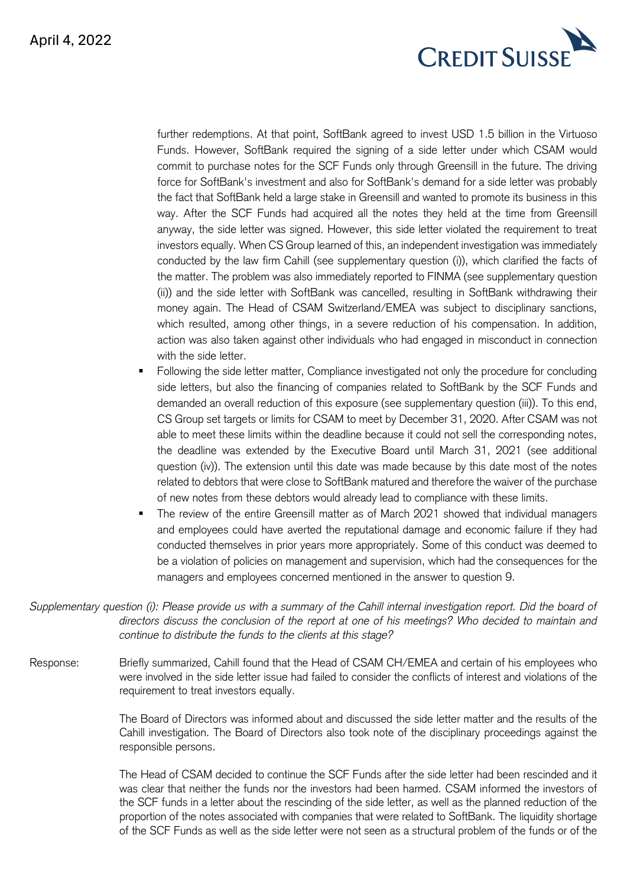

further redemptions. At that point, SoftBank agreed to invest USD 1.5 billion in the Virtuoso Funds. However, SoftBank required the signing of a side letter under which CSAM would commit to purchase notes for the SCF Funds only through Greensill in the future. The driving force for SoftBank's investment and also for SoftBank's demand for a side letter was probably the fact that SoftBank held a large stake in Greensill and wanted to promote its business in this way. After the SCF Funds had acquired all the notes they held at the time from Greensill anyway, the side letter was signed. However, this side letter violated the requirement to treat investors equally. When CS Group learned of this, an independent investigation was immediately conducted by the law firm Cahill (see supplementary question (i)), which clarified the facts of the matter. The problem was also immediately reported to FINMA (see supplementary question (ii)) and the side letter with SoftBank was cancelled, resulting in SoftBank withdrawing their money again. The Head of CSAM Switzerland/EMEA was subject to disciplinary sanctions, which resulted, among other things, in a severe reduction of his compensation. In addition, action was also taken against other individuals who had engaged in misconduct in connection with the side letter

- Following the side letter matter, Compliance investigated not only the procedure for concluding side letters, but also the financing of companies related to SoftBank by the SCF Funds and demanded an overall reduction of this exposure (see supplementary question (iii)). To this end, CS Group set targets or limits for CSAM to meet by December 31, 2020. After CSAM was not able to meet these limits within the deadline because it could not sell the corresponding notes, the deadline was extended by the Executive Board until March 31, 2021 (see additional question (iv)). The extension until this date was made because by this date most of the notes related to debtors that were close to SoftBank matured and therefore the waiver of the purchase of new notes from these debtors would already lead to compliance with these limits.
- The review of the entire Greensill matter as of March 2021 showed that individual managers and employees could have averted the reputational damage and economic failure if they had conducted themselves in prior years more appropriately. Some of this conduct was deemed to be a violation of policies on management and supervision, which had the consequences for the managers and employees concerned mentioned in the answer to question 9.

*Supplementary question (i): Please provide us with a summary of the Cahill internal investigation report. Did the board of directors discuss the conclusion of the report at one of his meetings? Who decided to maintain and continue to distribute the funds to the clients at this stage?*

Response: Briefly summarized, Cahill found that the Head of CSAM CH/EMEA and certain of his employees who were involved in the side letter issue had failed to consider the conflicts of interest and violations of the requirement to treat investors equally.

> The Board of Directors was informed about and discussed the side letter matter and the results of the Cahill investigation. The Board of Directors also took note of the disciplinary proceedings against the responsible persons.

> The Head of CSAM decided to continue the SCF Funds after the side letter had been rescinded and it was clear that neither the funds nor the investors had been harmed. CSAM informed the investors of the SCF funds in a letter about the rescinding of the side letter, as well as the planned reduction of the proportion of the notes associated with companies that were related to SoftBank. The liquidity shortage of the SCF Funds as well as the side letter were not seen as a structural problem of the funds or of the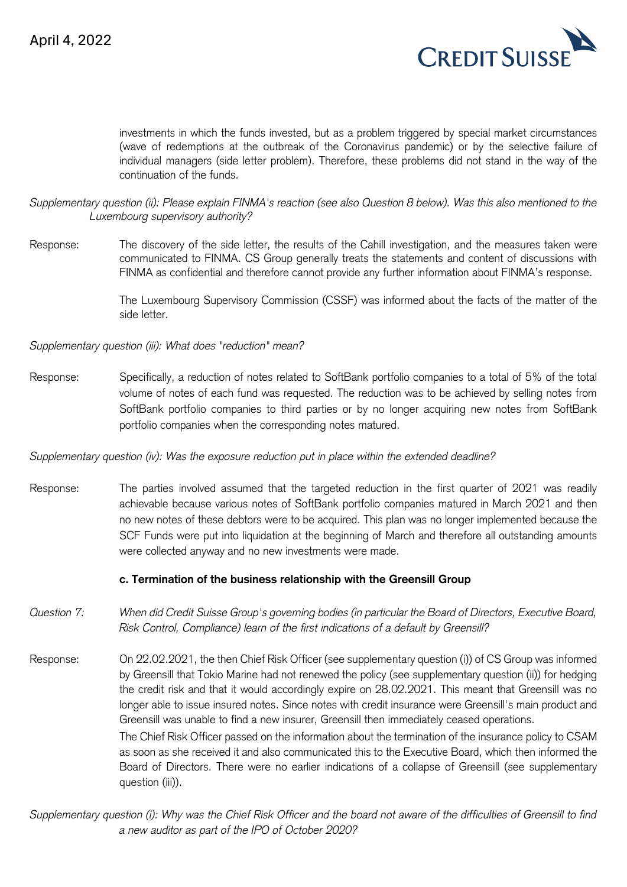

investments in which the funds invested, but as a problem triggered by special market circumstances (wave of redemptions at the outbreak of the Coronavirus pandemic) or by the selective failure of individual managers (side letter problem). Therefore, these problems did not stand in the way of the continuation of the funds.

*Supplementary question (ii): Please explain FINMA's reaction (see also Question 8 below). Was this also mentioned to the Luxembourg supervisory authority?*

Response: The discovery of the side letter, the results of the Cahill investigation, and the measures taken were communicated to FINMA. CS Group generally treats the statements and content of discussions with FINMA as confidential and therefore cannot provide any further information about FINMA's response.

> The Luxembourg Supervisory Commission (CSSF) was informed about the facts of the matter of the side letter.

*Supplementary question (iii): What does "reduction" mean?*

Response: Specifically, a reduction of notes related to SoftBank portfolio companies to a total of 5% of the total volume of notes of each fund was requested. The reduction was to be achieved by selling notes from SoftBank portfolio companies to third parties or by no longer acquiring new notes from SoftBank portfolio companies when the corresponding notes matured.

*Supplementary question (iv): Was the exposure reduction put in place within the extended deadline?*

Response: The parties involved assumed that the targeted reduction in the first quarter of 2021 was readily achievable because various notes of SoftBank portfolio companies matured in March 2021 and then no new notes of these debtors were to be acquired. This plan was no longer implemented because the SCF Funds were put into liquidation at the beginning of March and therefore all outstanding amounts were collected anyway and no new investments were made.

#### **c. Termination of the business relationship with the Greensill Group**

- *Question 7: When did Credit Suisse Group's governing bodies (in particular the Board of Directors, Executive Board, Risk Control, Compliance) learn of the first indications of a default by Greensill?*
- Response: On 22.02.2021, the then Chief Risk Officer (see supplementary question (i)) of CS Group was informed by Greensill that Tokio Marine had not renewed the policy (see supplementary question (ii)) for hedging the credit risk and that it would accordingly expire on 28.02.2021. This meant that Greensill was no longer able to issue insured notes. Since notes with credit insurance were Greensill's main product and Greensill was unable to find a new insurer, Greensill then immediately ceased operations. The Chief Risk Officer passed on the information about the termination of the insurance policy to CSAM as soon as she received it and also communicated this to the Executive Board, which then informed the Board of Directors. There were no earlier indications of a collapse of Greensill (see supplementary question (iii)).

*Supplementary question (i): Why was the Chief Risk Officer and the board not aware of the difficulties of Greensill to find a new auditor as part of the IPO of October 2020?*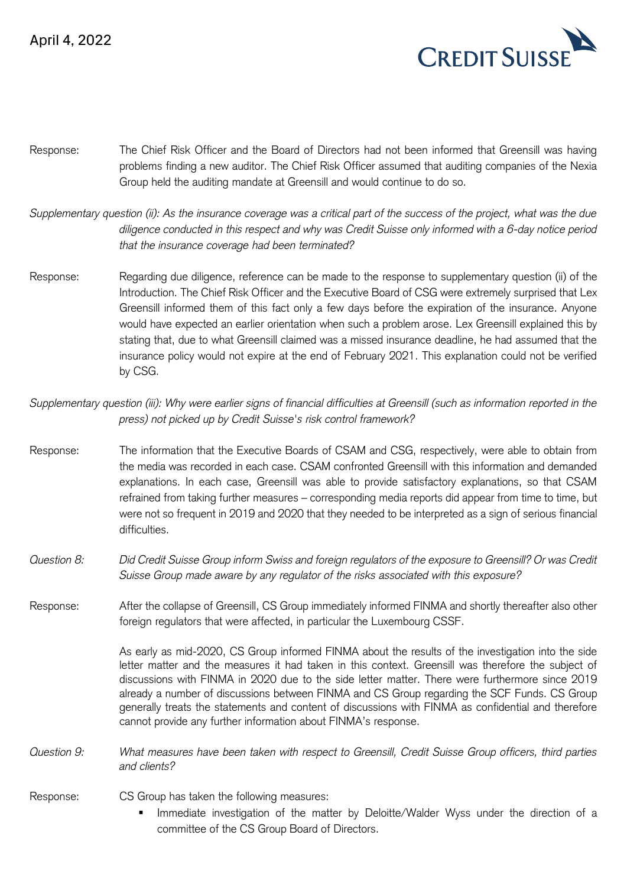

- Response: The Chief Risk Officer and the Board of Directors had not been informed that Greensill was having problems finding a new auditor. The Chief Risk Officer assumed that auditing companies of the Nexia Group held the auditing mandate at Greensill and would continue to do so.
- *Supplementary question (ii): As the insurance coverage was a critical part of the success of the project, what was the due diligence conducted in this respect and why was Credit Suisse only informed with a 6-day notice period that the insurance coverage had been terminated?*
- Response: Regarding due diligence, reference can be made to the response to supplementary question (ii) of the Introduction. The Chief Risk Officer and the Executive Board of CSG were extremely surprised that Lex Greensill informed them of this fact only a few days before the expiration of the insurance. Anyone would have expected an earlier orientation when such a problem arose. Lex Greensill explained this by stating that, due to what Greensill claimed was a missed insurance deadline, he had assumed that the insurance policy would not expire at the end of February 2021. This explanation could not be verified by CSG.

*Supplementary question (iii): Why were earlier signs of financial difficulties at Greensill (such as information reported in the press) not picked up by Credit Suisse's risk control framework?*

- Response: The information that the Executive Boards of CSAM and CSG, respectively, were able to obtain from the media was recorded in each case. CSAM confronted Greensill with this information and demanded explanations. In each case, Greensill was able to provide satisfactory explanations, so that CSAM refrained from taking further measures – corresponding media reports did appear from time to time, but were not so frequent in 2019 and 2020 that they needed to be interpreted as a sign of serious financial difficulties.
- *Question 8: Did Credit Suisse Group inform Swiss and foreign regulators of the exposure to Greensill? Or was Credit Suisse Group made aware by any regulator of the risks associated with this exposure?*

Response: After the collapse of Greensill, CS Group immediately informed FINMA and shortly thereafter also other foreign regulators that were affected, in particular the Luxembourg CSSF.

> As early as mid-2020, CS Group informed FINMA about the results of the investigation into the side letter matter and the measures it had taken in this context. Greensill was therefore the subject of discussions with FINMA in 2020 due to the side letter matter. There were furthermore since 2019 already a number of discussions between FINMA and CS Group regarding the SCF Funds. CS Group generally treats the statements and content of discussions with FINMA as confidential and therefore cannot provide any further information about FINMA's response.

*Question 9: What measures have been taken with respect to Greensill, Credit Suisse Group officers, third parties and clients?*

Response: CS Group has taken the following measures:

Immediate investigation of the matter by Deloitte/Walder Wyss under the direction of a committee of the CS Group Board of Directors.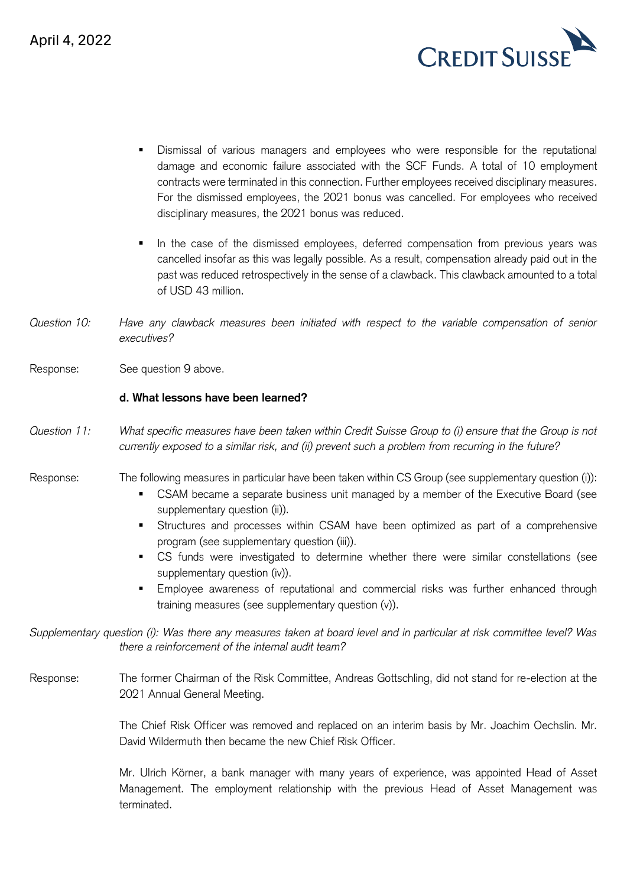

- Dismissal of various managers and employees who were responsible for the reputational damage and economic failure associated with the SCF Funds. A total of 10 employment contracts were terminated in this connection. Further employees received disciplinary measures. For the dismissed employees, the 2021 bonus was cancelled. For employees who received disciplinary measures, the 2021 bonus was reduced.
- In the case of the dismissed employees, deferred compensation from previous years was cancelled insofar as this was legally possible. As a result, compensation already paid out in the past was reduced retrospectively in the sense of a clawback. This clawback amounted to a total of USD 43 million.
- *Question 10: Have any clawback measures been initiated with respect to the variable compensation of senior executives?*
- Response: See question 9 above.

#### **d. What lessons have been learned?**

- *Question 11: What specific measures have been taken within Credit Suisse Group to (i) ensure that the Group is not currently exposed to a similar risk, and (ii) prevent such a problem from recurring in the future?*
- Response: The following measures in particular have been taken within CS Group (see supplementary question (i)):
	- CSAM became a separate business unit managed by a member of the Executive Board (see supplementary question (ii)).
	- **EXECUTE:** Structures and processes within CSAM have been optimized as part of a comprehensive program (see supplementary question (iii)).
	- CS funds were investigated to determine whether there were similar constellations (see supplementary question (iv)).
	- Employee awareness of reputational and commercial risks was further enhanced through training measures (see supplementary question (v)).

*Supplementary question (i): Was there any measures taken at board level and in particular at risk committee level? Was there a reinforcement of the internal audit team?*

Response: The former Chairman of the Risk Committee, Andreas Gottschling, did not stand for re-election at the 2021 Annual General Meeting.

> The Chief Risk Officer was removed and replaced on an interim basis by Mr. Joachim Oechslin. Mr. David Wildermuth then became the new Chief Risk Officer.

> Mr. Ulrich Körner, a bank manager with many years of experience, was appointed Head of Asset Management. The employment relationship with the previous Head of Asset Management was terminated.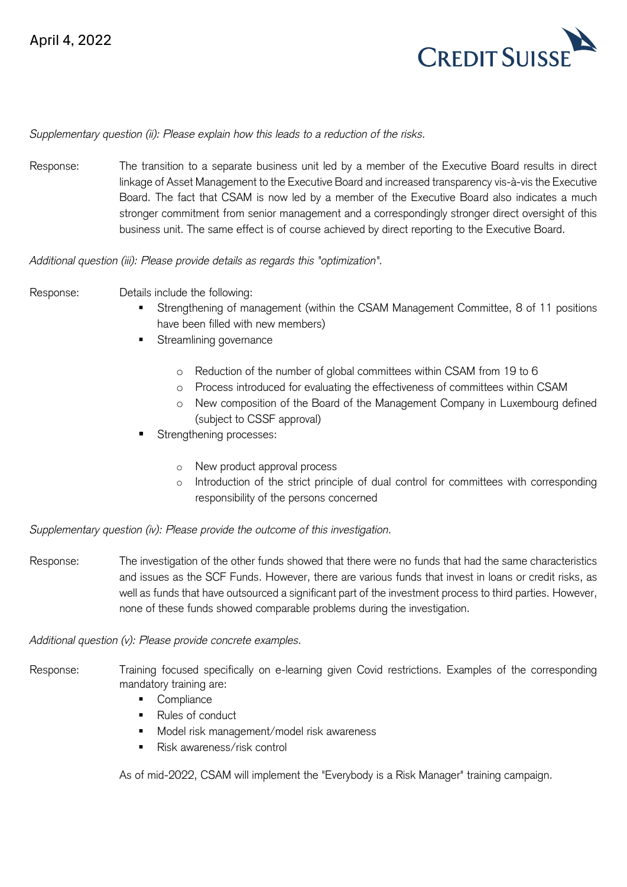

#### *Supplementary question (ii): Please explain how this leads to a reduction of the risks.*

Response: The transition to a separate business unit led by a member of the Executive Board results in direct linkage of Asset Management to the Executive Board and increased transparency vis-à-vis the Executive Board. The fact that CSAM is now led by a member of the Executive Board also indicates a much stronger commitment from senior management and a correspondingly stronger direct oversight of this business unit. The same effect is of course achieved by direct reporting to the Executive Board.

*Additional question (iii): Please provide details as regards this "optimization".*

Response: Details include the following:

- Strengthening of management (within the CSAM Management Committee, 8 of 11 positions have been filled with new members)
- **■** Streamlining governance
	- o Reduction of the number of global committees within CSAM from 19 to 6
	- o Process introduced for evaluating the effectiveness of committees within CSAM
	- o New composition of the Board of the Management Company in Luxembourg defined (subject to CSSF approval)
- Strengthening processes:
	- o New product approval process
	- o Introduction of the strict principle of dual control for committees with corresponding responsibility of the persons concerned

*Supplementary question (iv): Please provide the outcome of this investigation.* 

Response: The investigation of the other funds showed that there were no funds that had the same characteristics and issues as the SCF Funds. However, there are various funds that invest in loans or credit risks, as well as funds that have outsourced a significant part of the investment process to third parties. However, none of these funds showed comparable problems during the investigation.

*Additional question (v): Please provide concrete examples.*

- Response: Training focused specifically on e-learning given Covid restrictions. Examples of the corresponding mandatory training are:
	- Compliance
	- Rules of conduct
	- Model risk management/model risk awareness
	- Risk awareness/risk control

As of mid-2022, CSAM will implement the "Everybody is a Risk Manager" training campaign.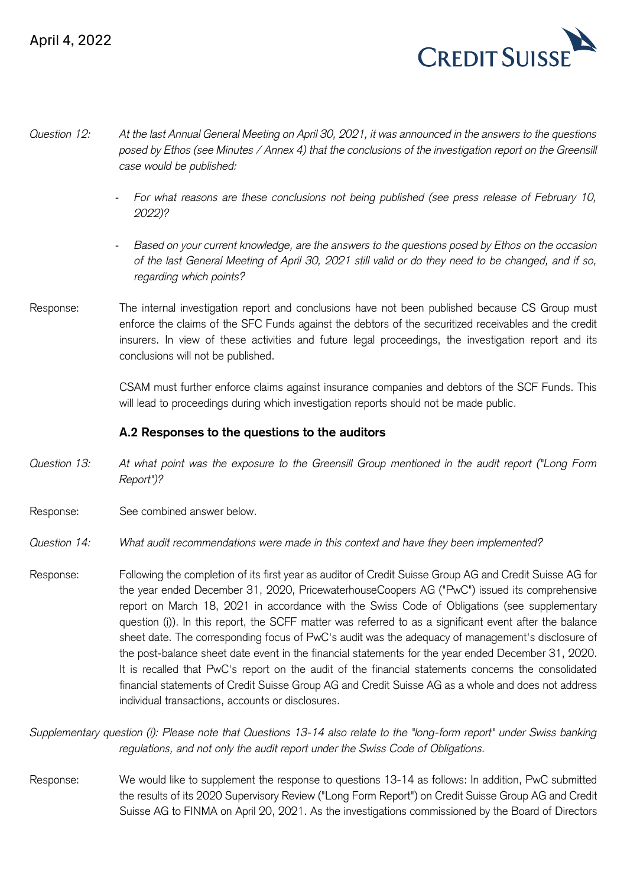

- *Question 12: At the last Annual General Meeting on April 30, 2021, it was announced in the answers to the questions posed by Ethos (see Minutes / Annex 4) that the conclusions of the investigation report on the Greensill case would be published:* 
	- *For what reasons are these conclusions not being published (see press release of February 10, 2022)?*
	- *Based on your current knowledge, are the answers to the questions posed by Ethos on the occasion of the last General Meeting of April 30, 2021 still valid or do they need to be changed, and if so, regarding which points?*
- Response: The internal investigation report and conclusions have not been published because CS Group must enforce the claims of the SFC Funds against the debtors of the securitized receivables and the credit insurers. In view of these activities and future legal proceedings, the investigation report and its conclusions will not be published.

CSAM must further enforce claims against insurance companies and debtors of the SCF Funds. This will lead to proceedings during which investigation reports should not be made public.

## **A.2 Responses to the questions to the auditors**

- *Question 13: At what point was the exposure to the Greensill Group mentioned in the audit report ("Long Form Report")?*
- Response: See combined answer below.
- *Question 14: What audit recommendations were made in this context and have they been implemented?*
- Response: Following the completion of its first year as auditor of Credit Suisse Group AG and Credit Suisse AG for the year ended December 31, 2020, PricewaterhouseCoopers AG ("PwC") issued its comprehensive report on March 18, 2021 in accordance with the Swiss Code of Obligations (see supplementary question (i)). In this report, the SCFF matter was referred to as a significant event after the balance sheet date. The corresponding focus of PwC's audit was the adequacy of management's disclosure of the post-balance sheet date event in the financial statements for the year ended December 31, 2020. It is recalled that PwC's report on the audit of the financial statements concerns the consolidated financial statements of Credit Suisse Group AG and Credit Suisse AG as a whole and does not address individual transactions, accounts or disclosures.

*Supplementary question (i): Please note that Questions 13-14 also relate to the "long-form report" under Swiss banking regulations, and not only the audit report under the Swiss Code of Obligations.*

Response: We would like to supplement the response to questions 13-14 as follows: In addition, PwC submitted the results of its 2020 Supervisory Review ("Long Form Report") on Credit Suisse Group AG and Credit Suisse AG to FINMA on April 20, 2021. As the investigations commissioned by the Board of Directors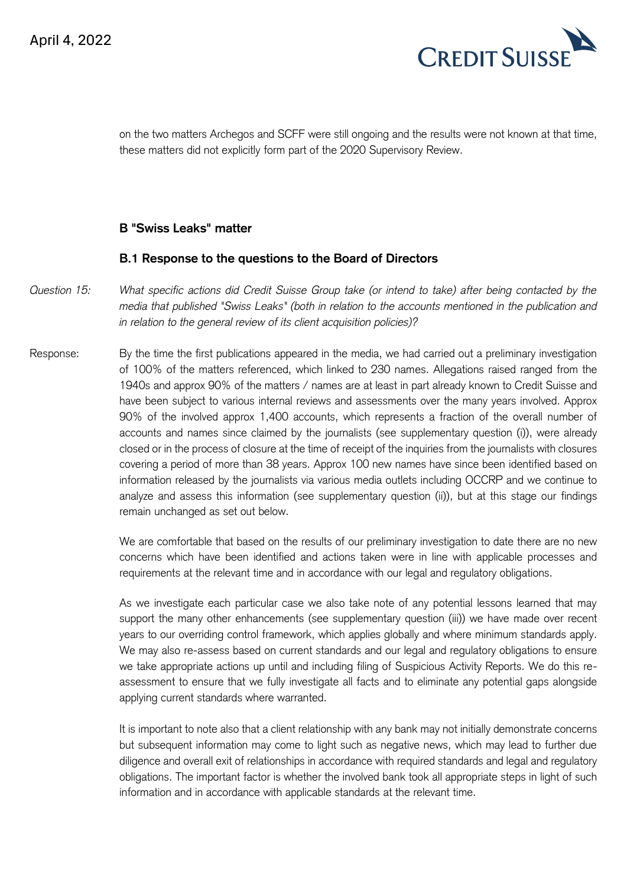

on the two matters Archegos and SCFF were still ongoing and the results were not known at that time, these matters did not explicitly form part of the 2020 Supervisory Review.

#### **B "Swiss Leaks" matter**

#### **B.1 Response to the questions to the Board of Directors**

- *Question 15: What specific actions did Credit Suisse Group take (or intend to take) after being contacted by the media that published "Swiss Leaks" (both in relation to the accounts mentioned in the publication and in relation to the general review of its client acquisition policies)?*
- Response: By the time the first publications appeared in the media, we had carried out a preliminary investigation of 100% of the matters referenced, which linked to 230 names. Allegations raised ranged from the 1940s and approx 90% of the matters / names are at least in part already known to Credit Suisse and have been subject to various internal reviews and assessments over the many years involved. Approx 90% of the involved approx 1,400 accounts, which represents a fraction of the overall number of accounts and names since claimed by the journalists (see supplementary question (i)), were already closed or in the process of closure at the time of receipt of the inquiries from the journalists with closures covering a period of more than 38 years. Approx 100 new names have since been identified based on information released by the journalists via various media outlets including OCCRP and we continue to analyze and assess this information (see supplementary question (ii)), but at this stage our findings remain unchanged as set out below.

We are comfortable that based on the results of our preliminary investigation to date there are no new concerns which have been identified and actions taken were in line with applicable processes and requirements at the relevant time and in accordance with our legal and regulatory obligations.

As we investigate each particular case we also take note of any potential lessons learned that may support the many other enhancements (see supplementary question (iii)) we have made over recent years to our overriding control framework, which applies globally and where minimum standards apply. We may also re-assess based on current standards and our legal and regulatory obligations to ensure we take appropriate actions up until and including filing of Suspicious Activity Reports. We do this reassessment to ensure that we fully investigate all facts and to eliminate any potential gaps alongside applying current standards where warranted.

It is important to note also that a client relationship with any bank may not initially demonstrate concerns but subsequent information may come to light such as negative news, which may lead to further due diligence and overall exit of relationships in accordance with required standards and legal and regulatory obligations. The important factor is whether the involved bank took all appropriate steps in light of such information and in accordance with applicable standards at the relevant time.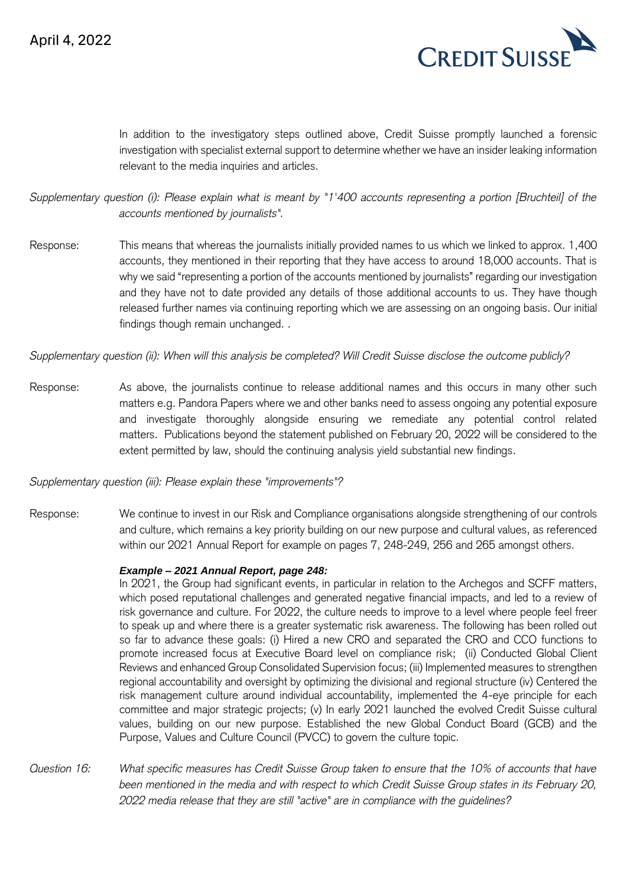

In addition to the investigatory steps outlined above, Credit Suisse promptly launched a forensic investigation with specialist external support to determine whether we have an insider leaking information relevant to the media inquiries and articles.

*Supplementary question (i): Please explain what is meant by "1'400 accounts representing a portion [Bruchteil] of the accounts mentioned by journalists".*

Response: This means that whereas the journalists initially provided names to us which we linked to approx. 1,400 accounts, they mentioned in their reporting that they have access to around 18,000 accounts. That is why we said "representing a portion of the accounts mentioned by journalists" regarding our investigation and they have not to date provided any details of those additional accounts to us. They have though released further names via continuing reporting which we are assessing on an ongoing basis. Our initial findings though remain unchanged. .

*Supplementary question (ii): When will this analysis be completed? Will Credit Suisse disclose the outcome publicly?*

Response: As above, the journalists continue to release additional names and this occurs in many other such matters e.g. Pandora Papers where we and other banks need to assess ongoing any potential exposure and investigate thoroughly alongside ensuring we remediate any potential control related matters. Publications beyond the statement published on February 20, 2022 will be considered to the extent permitted by law, should the continuing analysis yield substantial new findings.

*Supplementary question (iii): Please explain these "improvements"?* 

Response: We continue to invest in our Risk and Compliance organisations alongside strengthening of our controls and culture, which remains a key priority building on our new purpose and cultural values, as referenced within our 2021 Annual Report for example on pages 7, 248-249, 256 and 265 amongst others.

#### *Example – 2021 Annual Report, page 248:*

In 2021, the Group had significant events, in particular in relation to the Archegos and SCFF matters, which posed reputational challenges and generated negative financial impacts, and led to a review of risk governance and culture. For 2022, the culture needs to improve to a level where people feel freer to speak up and where there is a greater systematic risk awareness. The following has been rolled out so far to advance these goals: (i) Hired a new CRO and separated the CRO and CCO functions to promote increased focus at Executive Board level on compliance risk; (ii) Conducted Global Client Reviews and enhanced Group Consolidated Supervision focus; (iii) Implemented measures to strengthen regional accountability and oversight by optimizing the divisional and regional structure (iv) Centered the risk management culture around individual accountability, implemented the 4-eye principle for each committee and major strategic projects; (v) In early 2021 launched the evolved Credit Suisse cultural values, building on our new purpose. Established the new Global Conduct Board (GCB) and the Purpose, Values and Culture Council (PVCC) to govern the culture topic.

*Question 16: What specific measures has Credit Suisse Group taken to ensure that the 10% of accounts that have been mentioned in the media and with respect to which Credit Suisse Group states in its February 20, 2022 media release that they are still "active" are in compliance with the guidelines?*